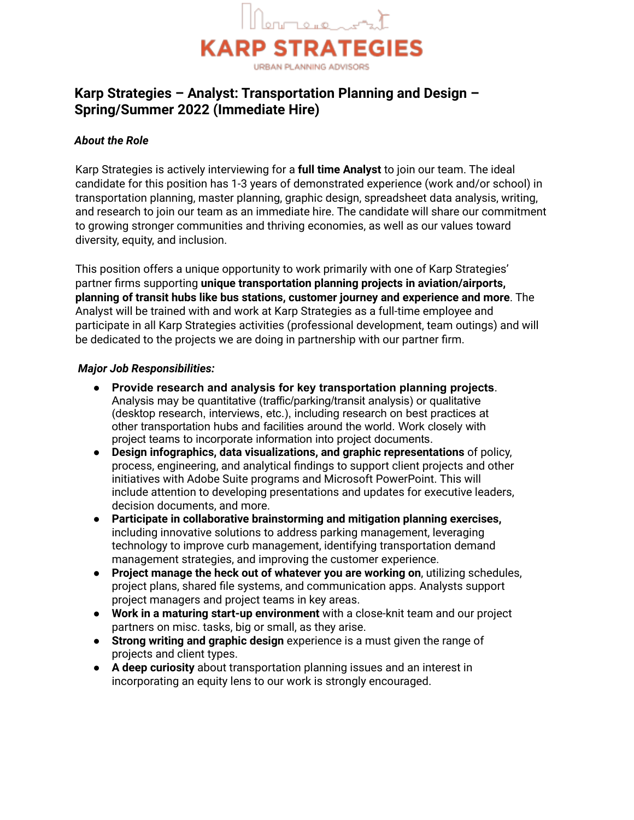

# **Karp Strategies – Analyst: Transportation Planning and Design – Spring/Summer 2022 (Immediate Hire)**

# *About the Role*

Karp Strategies is actively interviewing for a **full time Analyst** to join our team. The ideal candidate for this position has 1-3 years of demonstrated experience (work and/or school) in transportation planning, master planning, graphic design, spreadsheet data analysis, writing, and research to join our team as an immediate hire. The candidate will share our commitment to growing stronger communities and thriving economies, as well as our values toward diversity, equity, and inclusion.

This position offers a unique opportunity to work primarily with one of Karp Strategies' partner firms supporting **unique transportation planning projects in aviation/airports, planning of transit hubs like bus stations, customer journey and experience and more**. The Analyst will be trained with and work at Karp Strategies as a full-time employee and participate in all Karp Strategies activities (professional development, team outings) and will be dedicated to the projects we are doing in partnership with our partner firm.

#### *Major Job Responsibilities:*

- **Provide research and analysis for key transportation planning projects**. Analysis may be quantitative (traffic/parking/transit analysis) or qualitative (desktop research, interviews, etc.), including research on best practices at other transportation hubs and facilities around the world. Work closely with project teams to incorporate information into project documents.
- **Design infographics, data visualizations, and graphic representations** of policy, process, engineering, and analytical findings to support client projects and other initiatives with Adobe Suite programs and Microsoft PowerPoint. This will include attention to developing presentations and updates for executive leaders, decision documents, and more.
- **Participate in collaborative brainstorming and mitigation planning exercises,** including innovative solutions to address parking management, leveraging technology to improve curb management, identifying transportation demand management strategies, and improving the customer experience.
- **Project manage the heck out of whatever you are working on**, utilizing schedules, project plans, shared file systems, and communication apps. Analysts support project managers and project teams in key areas.
- **Work in a maturing start-up environment** with a close-knit team and our project partners on misc. tasks, big or small, as they arise.
- **Strong writing and graphic design** experience is a must given the range of projects and client types.
- **A deep curiosity** about transportation planning issues and an interest in incorporating an equity lens to our work is strongly encouraged.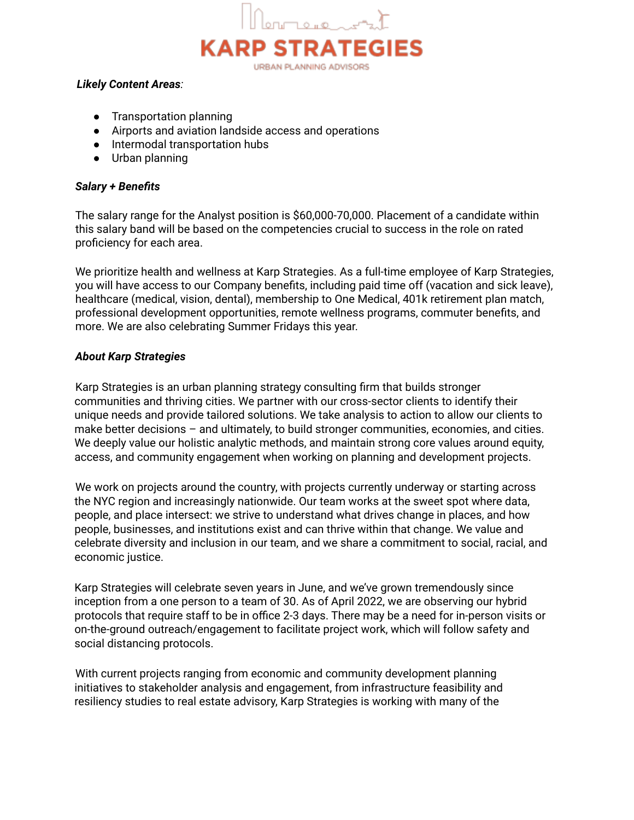

#### *Likely Content Areas:*

- Transportation planning
- Airports and aviation landside access and operations
- Intermodal transportation hubs
- Urban planning

### *Salary + Benefits*

The salary range for the Analyst position is \$60,000-70,000. Placement of a candidate within this salary band will be based on the competencies crucial to success in the role on rated proficiency for each area.

We prioritize health and wellness at Karp Strategies. As a full-time employee of Karp Strategies, you will have access to our Company benefits, including paid time off (vacation and sick leave), healthcare (medical, vision, dental), membership to One Medical, 401k retirement plan match, professional development opportunities, remote wellness programs, commuter benefits, and more. We are also celebrating Summer Fridays this year.

# *About Karp Strategies*

Karp Strategies is an urban planning strategy consulting firm that builds stronger communities and thriving cities. We partner with our cross-sector clients to identify their unique needs and provide tailored solutions. We take analysis to action to allow our clients to make better decisions – and ultimately, to build stronger communities, economies, and cities. We deeply value our holistic analytic methods, and maintain strong core values around equity, access, and community engagement when working on planning and development projects.

We work on projects around the country, with projects currently underway or starting across the NYC region and increasingly nationwide. Our team works at the sweet spot where data, people, and place intersect: we strive to understand what drives change in places, and how people, businesses, and institutions exist and can thrive within that change. We value and celebrate diversity and inclusion in our team, and we share a commitment to social, racial, and economic justice.

Karp Strategies will celebrate seven years in June, and we've grown tremendously since inception from a one person to a team of 30. As of April 2022, we are observing our hybrid protocols that require staff to be in office 2-3 days. There may be a need for in-person visits or on-the-ground outreach/engagement to facilitate project work, which will follow safety and social distancing protocols.

With current projects ranging from economic and community development planning initiatives to stakeholder analysis and engagement, from infrastructure feasibility and resiliency studies to real estate advisory, Karp Strategies is working with many of the